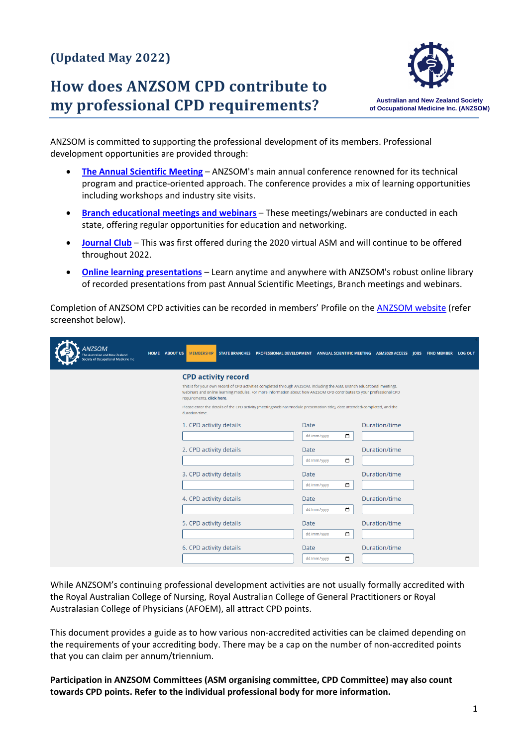# **(Updated May 2022)**

# **How does ANZSOM CPD contribute to my professional CPD requirements?**



ANZSOM is committed to supporting the professional development of its members. Professional development opportunities are provided through:

- **[The Annual Scientific Meeting](https://www.anzsom.org.au/annual-scientific-meeting/asm-2021)** ANZSOM's main annual conference renowned for its technical program and practice-oriented approach. The conference provides a mix of learning opportunities including workshops and industry site visits.
- **[Branch educational meetings and webinars](https://www.anzsom.org.au/professional-development/webinars)** These meetings/webinars are conducted in each state, offering regular opportunities for education and networking.
- **[Journal Club](https://www.anzsom.org.au/professional-development/journal-club-access)** This was first offered during the 2020 virtual ASM and will continue to be offered throughout 2022.
- **[Online learning presentations](https://www.anzsom.org.au/professional-development/online-learning-modules)** Learn anytime and anywhere with ANZSOM's robust online library of recorded presentations from past Annual Scientific Meetings, Branch meetings and webinars.

Completion of ANZSOM CPD activities can be recorded in members' Profile on the [ANZSOM website](https://www.anzsom.org.au/membership/my-profile) (refer screenshot below).

| ANZSOM<br>he Australian and New Zealand<br>Society of Occupational Medicine Inc | HOME ABOUT US<br><b>MEMBERSHIP</b>                                                                                                                                                                                                                                           | STATE BRANCHES PROFESSIONAL DEVELOPMENT ANNUAL SCIENTIFIC MEETING ASM2020 ACCESS JOBS FIND MEMBER LOG OUT |                      |  |  |
|---------------------------------------------------------------------------------|------------------------------------------------------------------------------------------------------------------------------------------------------------------------------------------------------------------------------------------------------------------------------|-----------------------------------------------------------------------------------------------------------|----------------------|--|--|
|                                                                                 | <b>CPD activity record</b>                                                                                                                                                                                                                                                   |                                                                                                           |                      |  |  |
|                                                                                 | This is for your own record of CPD activities completed through ANZSOM, including the ASM, Branch educational meetings,<br>webinars and online learning modules. For more information about how ANZSOM CPD contributes to your professional CPD<br>requirements, click here. |                                                                                                           |                      |  |  |
|                                                                                 | Please enter the details of the CPD activity (meeting/webinar/module presentation title), date attended/completed, and the<br>duration/time.                                                                                                                                 |                                                                                                           |                      |  |  |
|                                                                                 | 1. CPD activity details                                                                                                                                                                                                                                                      | Date                                                                                                      | Duration/time        |  |  |
|                                                                                 |                                                                                                                                                                                                                                                                              | $\Box$<br>dd/mm/yyyy                                                                                      |                      |  |  |
|                                                                                 | 2. CPD activity details                                                                                                                                                                                                                                                      | Date                                                                                                      | <b>Duration/time</b> |  |  |
|                                                                                 |                                                                                                                                                                                                                                                                              | $\blacksquare$<br>dd/mm/yyyy                                                                              |                      |  |  |
|                                                                                 | 3. CPD activity details                                                                                                                                                                                                                                                      | Date                                                                                                      | Duration/time        |  |  |
|                                                                                 |                                                                                                                                                                                                                                                                              | $\Box$<br>dd/mm/yyyy                                                                                      |                      |  |  |
|                                                                                 | 4. CPD activity details                                                                                                                                                                                                                                                      | Date                                                                                                      | Duration/time        |  |  |
|                                                                                 |                                                                                                                                                                                                                                                                              | $\Box$<br>dd/mm/yyyy                                                                                      |                      |  |  |
|                                                                                 | 5. CPD activity details                                                                                                                                                                                                                                                      | Date                                                                                                      | <b>Duration/time</b> |  |  |
|                                                                                 |                                                                                                                                                                                                                                                                              | $\Box$<br>dd/mm/yyyy                                                                                      |                      |  |  |
|                                                                                 | 6. CPD activity details                                                                                                                                                                                                                                                      | Date                                                                                                      | <b>Duration/time</b> |  |  |
|                                                                                 |                                                                                                                                                                                                                                                                              | □<br>dd/mm/yyyy                                                                                           |                      |  |  |

While ANZSOM's continuing professional development activities are not usually formally accredited with the Royal Australian College of Nursing, Royal Australian College of General Practitioners or Royal Australasian College of Physicians (AFOEM), all attract CPD points.

This document provides a guide as to how various non-accredited activities can be claimed depending on the requirements of your accrediting body. There may be a cap on the number of non-accredited points that you can claim per annum/triennium.

**Participation in ANZSOM Committees (ASM organising committee, CPD Committee) may also count towards CPD points. Refer to the individual professional body for more information.**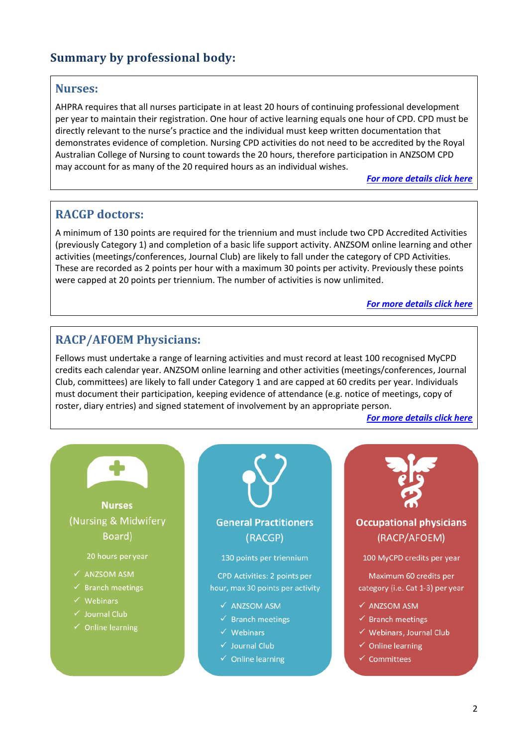# **Summary by professional body:**

#### **Nurses:**

AHPRA requires that all nurses participate in at least 20 hours of continuing professional development per year to maintain their registration. One hour of active learning equals one hour of CPD. CPD must be directly relevant to the nurse's practice and the individual must keep written documentation that demonstrates evidence of completion. Nursing CPD activities do not need to be accredited by the Royal Australian College of Nursing to count towards the 20 hours, therefore participation in ANZSOM CPD may account for as many of the 20 required hours as an individual wishes.

*[For more details click here](#page-1-0)*

### **RACGP doctors:**

A minimum of 130 points are required for the triennium and must include two CPD Accredited Activities (previously Category 1) and completion of a basic life support activity. ANZSOM online learning and other activities (meetings/conferences, Journal Club) are likely to fall under the category of CPD Activities. These are recorded as 2 points per hour with a maximum 30 points per activity. Previously these points were capped at 20 points per triennium. The number of activities is now unlimited.

*[For more details click here](#page-3-0)*

### **RACP/AFOEM Physicians:**

Fellows must undertake a range of learning activities and must record at least 100 recognised MyCPD credits each calendar year. ANZSOM online learning and other activities (meetings/conferences, Journal Club, committees) are likely to fall under Category 1 and are capped at 60 credits per year. Individuals must document their participation, keeping evidence of attendance (e.g. notice of meetings, copy of roster, diary entries) and signed statement of involvement by an appropriate person.

*[For more details click here](#page-5-0)*

<span id="page-1-0"></span>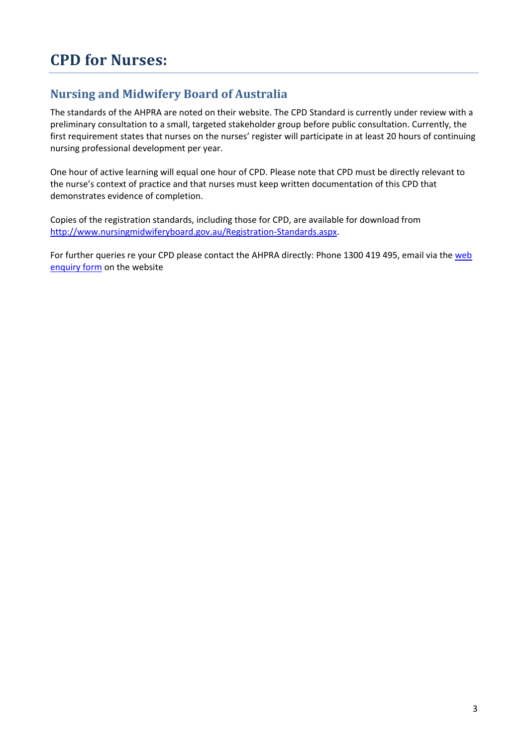## **Nursing and Midwifery Board of Australia**

The standards of the AHPRA are noted on their website. The CPD Standard is currently under review with a preliminary consultation to a small, targeted stakeholder group before public consultation. Currently, the first requirement states that nurses on the nurses' register will participate in at least 20 hours of continuing nursing professional development per year.

One hour of active learning will equal one hour of CPD. Please note that CPD must be directly relevant to the nurse's context of practice and that nurses must keep written documentation of this CPD that demonstrates evidence of completion.

Copies of the registration standards, including those for CPD, are available for download from [http://www.nursingmidwiferyboard.gov.au/Registration-Standards.aspx.](http://www.nursingmidwiferyboard.gov.au/Registration-Standards.aspx)

For further queries re your CPD please contact the AHPRA directly: Phone 1300 419 495, email via the web [enquiry form](https://www.ahpra.gov.au/About-AHPRA/Contact-Us/Make-an-Enquiry.aspx) on the website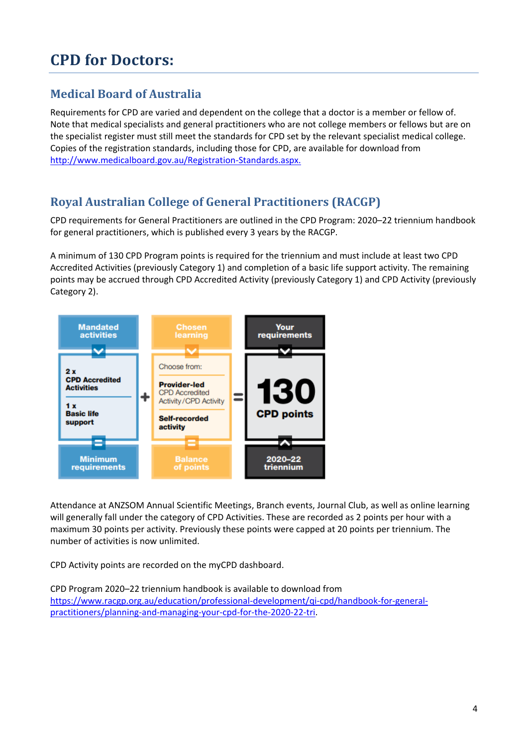# **CPD for Doctors:**

## **Medical Board of Australia**

Requirements for CPD are varied and dependent on the college that a doctor is a member or fellow of. Note that medical specialists and general practitioners who are not college members or fellows but are on the specialist register must still meet the standards for CPD set by the relevant specialist medical college. Copies of the registration standards, including those for CPD, are available for download from [http://www.medicalboard.gov.au/Registration-Standards.aspx.](http://www.medicalboard.gov.au/Registration-Standards.aspx)

## <span id="page-3-0"></span>**Royal Australian College of General Practitioners (RACGP)**

CPD requirements for General Practitioners are outlined in the CPD Program: 2020–22 triennium handbook for general practitioners, which is published every 3 years by the RACGP.

A minimum of 130 CPD Program points is required for the triennium and must include at least two CPD Accredited Activities (previously Category 1) and completion of a basic life support activity. The remaining points may be accrued through CPD Accredited Activity (previously Category 1) and CPD Activity (previously Category 2).



Attendance at ANZSOM Annual Scientific Meetings, Branch events, Journal Club, as well as online learning will generally fall under the category of CPD Activities. These are recorded as 2 points per hour with a maximum 30 points per activity. Previously these points were capped at 20 points per triennium. The number of activities is now unlimited.

CPD Activity points are recorded on the myCPD dashboard.

CPD Program 2020–22 triennium handbook is available to download from [https://www.racgp.org.au/education/professional-development/qi-cpd/handbook-for-general](https://www.racgp.org.au/education/professional-development/qi-cpd/handbook-for-general-practitioners/planning-and-managing-your-cpd-for-the-2020-22-tri)[practitioners/planning-and-managing-your-cpd-for-the-2020-22-tri.](https://www.racgp.org.au/education/professional-development/qi-cpd/handbook-for-general-practitioners/planning-and-managing-your-cpd-for-the-2020-22-tri)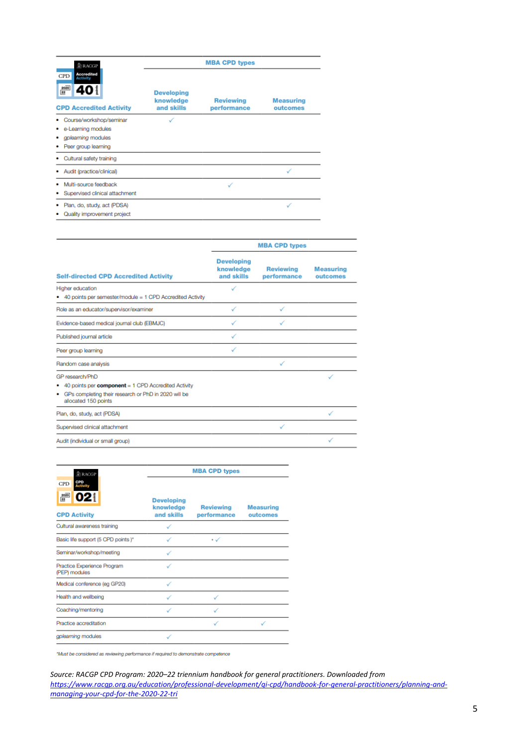| <b>ARACGP</b>                                                                                      | <b>MBA CPD types</b>                         |                                 |                              |  |  |
|----------------------------------------------------------------------------------------------------|----------------------------------------------|---------------------------------|------------------------------|--|--|
| <b>Accredited</b><br>CPD<br><b>Activity</b><br>$\frac{2020}{22}$<br><b>CPD Accredited Activity</b> | <b>Developing</b><br>knowledge<br>and skills | <b>Reviewing</b><br>performance | <b>Measuring</b><br>outcomes |  |  |
| Course/workshop/seminar<br>e-Learning modules<br>gplearning modules<br>Peer group learning         |                                              |                                 |                              |  |  |
| Cultural safety training                                                                           |                                              |                                 |                              |  |  |
| Audit (practice/clinical)                                                                          |                                              |                                 |                              |  |  |
| Multi-source feedback<br>Supervised clinical attachment                                            |                                              |                                 |                              |  |  |
| Plan, do, study, act (PDSA)<br>Quality improvement project                                         |                                              |                                 |                              |  |  |

|                                                                                                                                                          | <b>MBA CPD types</b>                         |                                 |                              |  |
|----------------------------------------------------------------------------------------------------------------------------------------------------------|----------------------------------------------|---------------------------------|------------------------------|--|
| <b>Self-directed CPD Accredited Activity</b>                                                                                                             | <b>Developing</b><br>knowledge<br>and skills | <b>Reviewing</b><br>performance | <b>Measuring</b><br>outcomes |  |
| Higher education<br>40 points per semester/module = 1 CPD Accredited Activity                                                                            | $\checkmark$                                 |                                 |                              |  |
| Role as an educator/supervisor/examiner                                                                                                                  |                                              |                                 |                              |  |
| Evidence-based medical journal club (EBMJC)                                                                                                              |                                              |                                 |                              |  |
| Published journal article                                                                                                                                |                                              |                                 |                              |  |
| Peer group learning                                                                                                                                      |                                              |                                 |                              |  |
| Random case analysis                                                                                                                                     |                                              | ✓                               |                              |  |
| GP research/PhD<br>40 points per component = 1 CPD Accredited Activity<br>• GPs completing their research or PhD in 2020 will be<br>allocated 150 points |                                              |                                 |                              |  |
| Plan, do, study, act (PDSA)                                                                                                                              |                                              |                                 |                              |  |
| Supervised clinical attachment                                                                                                                           |                                              | $\checkmark$                    |                              |  |
| Audit (individual or small group)                                                                                                                        |                                              |                                 |                              |  |

| <b>E</b> RACGP                                                     | <b>MBA CPD types</b>                         |                                 |                              |  |  |
|--------------------------------------------------------------------|----------------------------------------------|---------------------------------|------------------------------|--|--|
| CPD<br>Activity<br><b>CPD</b><br>2020<br>22<br><b>CPD Activity</b> | <b>Developing</b><br>knowledge<br>and skills | <b>Reviewing</b><br>performance | <b>Measuring</b><br>outcomes |  |  |
| Cultural awareness training                                        |                                              |                                 |                              |  |  |
| Basic life support (5 CPD points)*                                 |                                              | $\star \checkmark$              |                              |  |  |
| Seminar/workshop/meeting                                           |                                              |                                 |                              |  |  |
| Practice Experience Program<br>(PEP) modules                       |                                              |                                 |                              |  |  |
| Medical conference (eg GP20)                                       |                                              |                                 |                              |  |  |
| Health and wellbeing                                               |                                              |                                 |                              |  |  |
| Coaching/mentoring                                                 |                                              |                                 |                              |  |  |
| Practice accreditation                                             |                                              |                                 |                              |  |  |
| gplearning modules                                                 |                                              |                                 |                              |  |  |

\*Must be considered as reviewing performance if required to demonstrate competence

*Source: RACGP CPD Program: 2020–22 triennium handbook for general practitioners. Downloaded from [https://www.racgp.org.au/education/professional-development/qi-cpd/handbook-for-general-practitioners/planning-and](https://www.racgp.org.au/education/professional-development/qi-cpd/handbook-for-general-practitioners/planning-and-managing-your-cpd-for-the-2020-22-tri)[managing-your-cpd-for-the-2020-22-tri](https://www.racgp.org.au/education/professional-development/qi-cpd/handbook-for-general-practitioners/planning-and-managing-your-cpd-for-the-2020-22-tri)*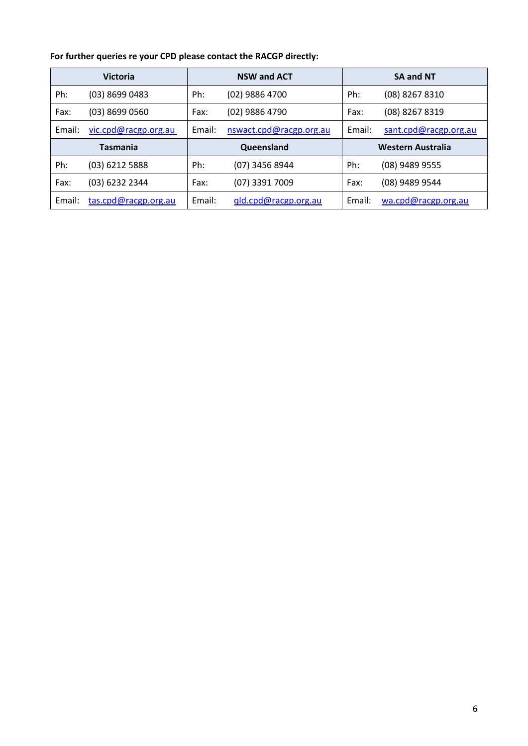#### **For further queries re your CPD please contact the RACGP directly:**

<span id="page-5-0"></span>

|                 | <b>Victoria</b>      |        | <b>NSW and ACT</b>      |        | <b>SA and NT</b>      |
|-----------------|----------------------|--------|-------------------------|--------|-----------------------|
| Ph:             | (03) 8699 0483       | Ph:    | (02) 9886 4700          | Ph:    | (08) 8267 8310        |
| Fax:            | (03) 8699 0560       | Fax:   | (02) 9886 4790          | Fax:   | (08) 8267 8319        |
| Email:          | vic.cpd@racgp.org.au | Email: | nswact.cpd@racgp.org.au | Email: | sant.cpd@racgp.org.au |
| <b>Tasmania</b> |                      |        | Queensland              |        | Western Australia     |
| Ph:             | (03) 6212 5888       | Ph:    | (07) 3456 8944          | Ph:    | (08) 9489 9555        |
| Fax:            | (03) 6232 2344       | Fax:   | (07) 3391 7009          | Fax:   | (08) 9489 9544        |
| Email:          | tas.cpd@racgp.org.au | Email: | qld.cpd@racgp.org.au    | Email: | wa.cpd@racgp.org.au   |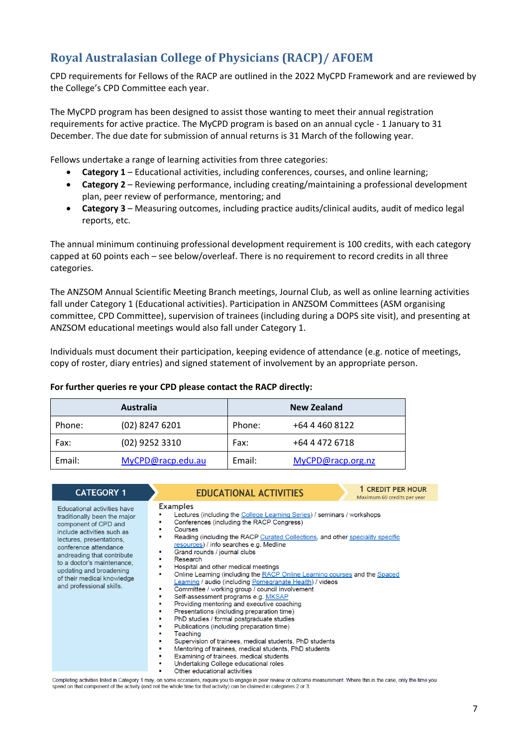# **Royal Australasian College of Physicians (RACP)/ AFOEM**

CPD requirements for Fellows of the RACP are outlined in the 2022 MyCPD Framework and are reviewed by the College's CPD Committee each year.

The MyCPD program has been designed to assist those wanting to meet their annual registration requirements for active practice. The MyCPD program is based on an annual cycle - 1 January to 31 December. The due date for submission of annual returns is 31 March of the following year.

Fellows undertake a range of learning activities from three categories:

- **Category 1** Educational activities, including conferences, courses, and online learning;
- **Category 2** Reviewing performance, including creating/maintaining a professional development plan, peer review of performance, mentoring; and
- **Category 3** Measuring outcomes, including practice audits/clinical audits, audit of medico legal reports, etc.

The annual minimum continuing professional development requirement is 100 credits, with each category capped at 60 points each – see below/overleaf. There is no requirement to record credits in all three categories.

The ANZSOM Annual Scientific Meeting Branch meetings, Journal Club, as well as online learning activities fall under Category 1 (Educational activities). Participation in ANZSOM Committees (ASM organising committee, CPD Committee), supervision of trainees (including during a DOPS site visit), and presenting at ANZSOM educational meetings would also fall under Category 1.

Individuals must document their participation, keeping evidence of attendance (e.g. notice of meetings, copy of roster, diary entries) and signed statement of involvement by an appropriate person.

#### **For further queries re your CPD please contact the RACP directly:**

|        | <b>Australia</b>  |        | New Zealand       |
|--------|-------------------|--------|-------------------|
| Phone: | $(02)$ 8247 6201  | Phone: | +64 4 460 8122    |
| Fax:   | $(02)$ 9252 3310  | Fax:   | +64 4 472 6718    |
| Email: | MyCPD@racp.edu.au | Email: | MyCPD@racp.org.nz |

| <b>CATEGORY 1</b>                                                                                                                                                                                                                                                                                                              | 1 CREDIT PER HOUR<br><b>EDUCATIONAL ACTIVITIES</b><br>Maximum 60 credits per year                                                                                                                                                                                                                                                                                                                                                                                                                                                                                                                                                                                                                                                                                                                                                                                                                                                                                                                                                                                                                               |
|--------------------------------------------------------------------------------------------------------------------------------------------------------------------------------------------------------------------------------------------------------------------------------------------------------------------------------|-----------------------------------------------------------------------------------------------------------------------------------------------------------------------------------------------------------------------------------------------------------------------------------------------------------------------------------------------------------------------------------------------------------------------------------------------------------------------------------------------------------------------------------------------------------------------------------------------------------------------------------------------------------------------------------------------------------------------------------------------------------------------------------------------------------------------------------------------------------------------------------------------------------------------------------------------------------------------------------------------------------------------------------------------------------------------------------------------------------------|
| <b>Educational activities have</b><br>traditionally been the major<br>component of CPD and<br>include activities such as<br>lectures, presentations,<br>conference attendance<br>andreading that contribute<br>to a doctor's maintenance.<br>updating and broadening<br>of their medical knowledge<br>and professional skills. | <b>Examples</b><br>Lectures (including the College Learning Series) / seminars / workshops<br>Conferences (including the RACP Congress)<br>Courses<br>Reading (including the RACP Curated Collections, and other speciality specific<br>resources) / info searches e.g. Medline<br>Grand rounds / journal clubs<br>п<br>Research<br>Hospital and other medical meetings<br>Online Learning (including the RACP Online Learning courses and the Spaced<br>Learning / audio (including Pomegranate Health) / videos<br>Committee / working group / council involvement<br>Self-assessment programs e.g. MKSAP<br>Providing mentoring and executive coaching<br>п<br>Presentations (including preparation time)<br>٠<br>PhD studies / formal postgraduate studies<br>п<br>Publications (including preparation time)<br>п<br>Teaching<br>п<br>Supervision of trainees, medical students, PhD students<br>$\blacksquare$<br>Mentoring of trainees, medical students, PhD students<br>٠<br>Examining of trainees, medical students<br>п<br>Undertaking College educational roles<br>п<br>Other educational activities |

Completing activities listed in Category 1 may, on some occasions, require you to engage in peer review or outcome measurement. Where this is the case, only the time you spend on that component of the activity (and not the whole time for that activity) can be claimed in categories 2 or 3